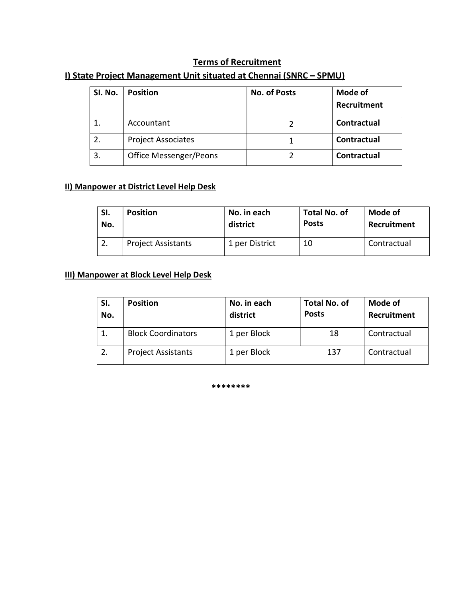## Terms of Recruitment

| SI. No. | <b>Position</b>           | No. of Posts | Mode of<br>Recruitment |
|---------|---------------------------|--------------|------------------------|
|         | Accountant                |              | Contractual            |
| 2.      | <b>Project Associates</b> |              | Contractual            |
| 3.      | Office Messenger/Peons    |              | Contractual            |

### I) State Project Management Unit situated at Chennai (SNRC – SPMU)

#### II) Manpower at District Level Help Desk

| SI. | <b>Position</b>           | No. in each    | <b>Total No. of</b> | Mode of     |
|-----|---------------------------|----------------|---------------------|-------------|
| No. |                           | district       | <b>Posts</b>        | Recruitment |
|     | <b>Project Assistants</b> | 1 per District | 10                  | Contractual |

#### III) Manpower at Block Level Help Desk

| SI.<br>No. | <b>Position</b>           | No. in each<br>district | <b>Total No. of</b><br><b>Posts</b> | <b>Mode of</b><br>Recruitment |
|------------|---------------------------|-------------------------|-------------------------------------|-------------------------------|
|            | <b>Block Coordinators</b> | 1 per Block             | 18                                  | Contractual                   |
|            | <b>Project Assistants</b> | 1 per Block             | 137                                 | Contractual                   |

\*\*\*\*\*\*\*\*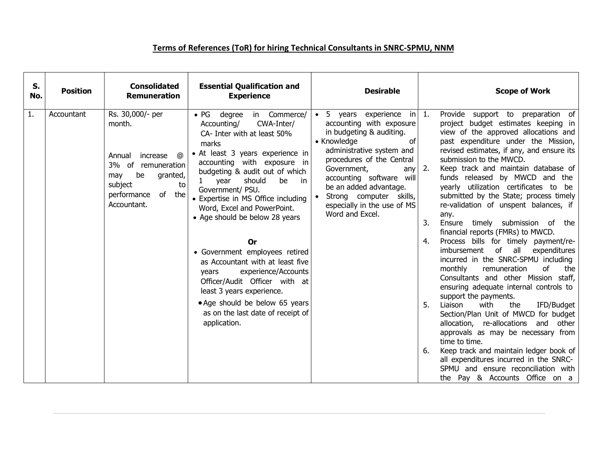# Terms of References (ToR) for hiring Technical Consultants in SNRC-SPMU, NNM

| S.<br>No. | <b>Position</b> | <b>Consolidated</b><br><b>Remuneration</b>                                                                                                                 | <b>Essential Qualification and</b><br><b>Experience</b>                                                                                                                                                                                                                                                                                                                                                                                                                                                                                                                                                                                            | <b>Desirable</b>                                                                                                                                                                                                                                                                                                                         |                      | <b>Scope of Work</b>                                                                                                                                                                                                                                                                                                                                                                                                                                                                                                                                                                                                                                                                                                                                                                                                                                                                                                                                                                                                                                                                                                                             |
|-----------|-----------------|------------------------------------------------------------------------------------------------------------------------------------------------------------|----------------------------------------------------------------------------------------------------------------------------------------------------------------------------------------------------------------------------------------------------------------------------------------------------------------------------------------------------------------------------------------------------------------------------------------------------------------------------------------------------------------------------------------------------------------------------------------------------------------------------------------------------|------------------------------------------------------------------------------------------------------------------------------------------------------------------------------------------------------------------------------------------------------------------------------------------------------------------------------------------|----------------------|--------------------------------------------------------------------------------------------------------------------------------------------------------------------------------------------------------------------------------------------------------------------------------------------------------------------------------------------------------------------------------------------------------------------------------------------------------------------------------------------------------------------------------------------------------------------------------------------------------------------------------------------------------------------------------------------------------------------------------------------------------------------------------------------------------------------------------------------------------------------------------------------------------------------------------------------------------------------------------------------------------------------------------------------------------------------------------------------------------------------------------------------------|
| 1.        | Accountant      | Rs. 30,000/- per<br>month.<br>increase @<br>Annual<br>3% of<br>remuneration<br>be<br>granted,<br>may<br>subject<br>to<br>performance of the<br>Accountant. | • PG degree<br>in Commerce/<br>Accounting/<br>CWA-Inter/<br>CA- Inter with at least 50%<br>marks<br>• At least 3 years experience in<br>accounting with exposure in<br>budgeting & audit out of which<br>should<br>be<br>year<br>in in<br>$\mathbf{1}$<br>Government/ PSU.<br>• Expertise in MS Office including<br>Word, Excel and PowerPoint.<br>• Age should be below 28 years<br>0r<br>• Government employees retired<br>as Accountant with at least five<br>experience/Accounts<br>years<br>Officer/Audit Officer with at<br>least 3 years experience.<br>• Age should be below 65 years<br>as on the last date of receipt of<br>application. | • 5 years experience in $1$ .<br>accounting with exposure<br>in budgeting & auditing.<br>• Knowledge<br>of<br>administrative system and<br>procedures of the Central<br>any $\vert$ 2.<br>Government,<br>accounting software will<br>be an added advantage.<br>Strong computer skills,<br>especially in the use of MS<br>Word and Excel. | 3.<br>4.<br>5.<br>6. | Provide support to preparation of<br>project budget estimates keeping in<br>view of the approved allocations and<br>past expenditure under the Mission,<br>revised estimates, if any, and ensure its<br>submission to the MWCD.<br>Keep track and maintain database of<br>funds released by MWCD and the<br>yearly utilization certificates to be<br>submitted by the State; process timely<br>re-validation of unspent balances, if<br>any.<br>Ensure timely submission of the<br>financial reports (FMRs) to MWCD.<br>Process bills for timely payment/re-<br>imbursement of all expenditures<br>incurred in the SNRC-SPMU including<br><sub>of</sub><br>monthly<br>remuneration<br>the<br>Consultants and other Mission staff,<br>ensuring adequate internal controls to<br>support the payments.<br>IFD/Budget<br>Liaison<br>with<br>the<br>Section/Plan Unit of MWCD for budget<br>allocation, re-allocations and other<br>approvals as may be necessary from<br>time to time.<br>Keep track and maintain ledger book of<br>all expenditures incurred in the SNRC-<br>SPMU and ensure reconciliation with<br>the Pay & Accounts Office on a |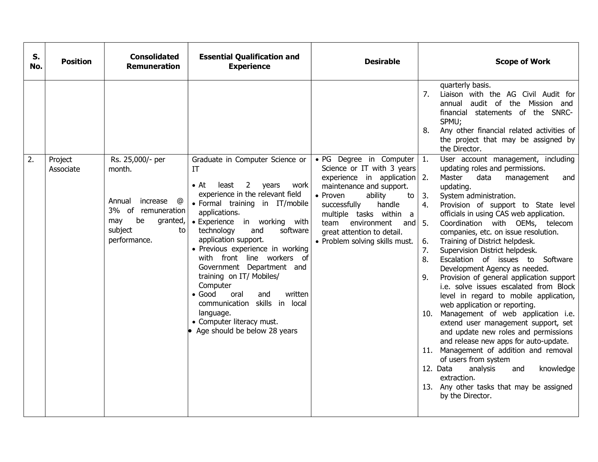| quarterly basis.<br>7.<br>Liaison with the AG Civil Audit for<br>audit of the Mission and<br>annual<br>financial statements of the SNRC-<br>SPMU;<br>Any other financial related activities of<br>8.<br>the project that may be assigned by<br>the Director.<br>2.<br>• PG Degree in Computer $ 1.$<br>User account management, including<br>Rs. 25,000/- per<br>Graduate in Computer Science or<br>Project<br>Science or IT with 3 years<br>updating roles and permissions.<br>month.<br>Associate<br>IT<br>experience in application 2.<br>Master<br>data<br>management<br>and<br>least 2<br>years<br>$\bullet$ At<br>work<br>maintenance and support.<br>updating.<br>experience in the relevant field<br>• Proven<br>ability<br>System administration.<br>3.<br>to l<br>Annual<br>increase @<br>· Formal training in IT/mobile<br>successfully<br>4.<br>Provision of support to State level<br>handle<br>3% of remuneration<br>applications.<br>multiple tasks within a<br>officials in using CAS web application.<br>be<br>may<br>granted,<br>• Experience in working with<br>5.<br>Coordination with OEMs, telecom<br>team<br>environment<br>and I<br>subject<br>technology<br>to<br>and<br>software<br>great attention to detail.<br>companies, etc. on issue resolution.<br>application support.<br>performance.<br>• Problem solving skills must.<br>Training of District helpdesk.<br>6.<br>· Previous experience in working<br>7.<br>Supervision District helpdesk.<br>with front line workers of<br>8.<br>Escalation of issues to Software<br>Government Department and<br>Development Agency as needed.<br>training on IT/ Mobiles/<br>Provision of general application support<br>9.<br>Computer<br>i.e. solve issues escalated from Block<br>$\bullet$ Good<br>written<br>oral<br>and<br>level in regard to mobile application,<br>communication<br>skills in local<br>web application or reporting.<br>language.<br>Management of web application i.e.<br>10.<br>• Computer literacy must.<br>extend user management support, set<br>Age should be below 28 years<br>and update new roles and permissions<br>and release new apps for auto-update.<br>11. Management of addition and removal<br>of users from system<br>12. Data<br>analysis<br>and<br>knowledge<br>extraction.<br>13. Any other tasks that may be assigned<br>by the Director. | S.<br>No. | <b>Position</b> | <b>Consolidated</b><br><b>Remuneration</b> | <b>Essential Qualification and</b><br><b>Experience</b> | <b>Desirable</b> | <b>Scope of Work</b> |
|-----------------------------------------------------------------------------------------------------------------------------------------------------------------------------------------------------------------------------------------------------------------------------------------------------------------------------------------------------------------------------------------------------------------------------------------------------------------------------------------------------------------------------------------------------------------------------------------------------------------------------------------------------------------------------------------------------------------------------------------------------------------------------------------------------------------------------------------------------------------------------------------------------------------------------------------------------------------------------------------------------------------------------------------------------------------------------------------------------------------------------------------------------------------------------------------------------------------------------------------------------------------------------------------------------------------------------------------------------------------------------------------------------------------------------------------------------------------------------------------------------------------------------------------------------------------------------------------------------------------------------------------------------------------------------------------------------------------------------------------------------------------------------------------------------------------------------------------------------------------------------------------------------------------------------------------------------------------------------------------------------------------------------------------------------------------------------------------------------------------------------------------------------------------------------------------------------------------------------------------------------------------------------------------------------------------------------------------------------------------|-----------|-----------------|--------------------------------------------|---------------------------------------------------------|------------------|----------------------|
|                                                                                                                                                                                                                                                                                                                                                                                                                                                                                                                                                                                                                                                                                                                                                                                                                                                                                                                                                                                                                                                                                                                                                                                                                                                                                                                                                                                                                                                                                                                                                                                                                                                                                                                                                                                                                                                                                                                                                                                                                                                                                                                                                                                                                                                                                                                                                                 |           |                 |                                            |                                                         |                  |                      |
|                                                                                                                                                                                                                                                                                                                                                                                                                                                                                                                                                                                                                                                                                                                                                                                                                                                                                                                                                                                                                                                                                                                                                                                                                                                                                                                                                                                                                                                                                                                                                                                                                                                                                                                                                                                                                                                                                                                                                                                                                                                                                                                                                                                                                                                                                                                                                                 |           |                 |                                            |                                                         |                  |                      |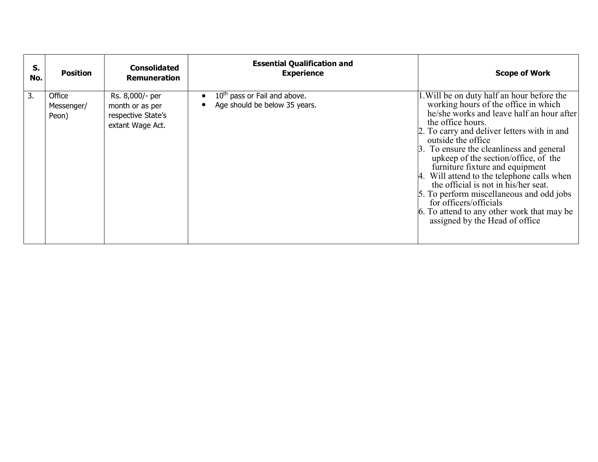| S.<br>No. | <b>Position</b>               | <b>Consolidated</b><br><b>Remuneration</b>                                   | <b>Essential Qualification and</b><br><b>Experience</b>                   | <b>Scope of Work</b>                                                                                                                                                                                                                                                                                                                                                                                                                                                                                                                                                                         |
|-----------|-------------------------------|------------------------------------------------------------------------------|---------------------------------------------------------------------------|----------------------------------------------------------------------------------------------------------------------------------------------------------------------------------------------------------------------------------------------------------------------------------------------------------------------------------------------------------------------------------------------------------------------------------------------------------------------------------------------------------------------------------------------------------------------------------------------|
| 3.        | Office<br>Messenger/<br>Peon) | Rs. 8,000/- per<br>month or as per<br>respective State's<br>extant Wage Act. | 10 <sup>th</sup> pass or Fail and above.<br>Age should be below 35 years. | 1. Will be on duty half an hour before the<br>working hours of the office in which<br>he/she works and leave half an hour after<br>the office hours.<br>2. To carry and deliver letters with in and<br>outside the office<br>3. To ensure the cleanliness and general<br>upkeep of the section/office, of the<br>furniture fixture and equipment<br>4. Will attend to the telephone calls when<br>the official is not in his/her seat.<br>5. To perform miscellaneous and odd jobs<br>for officers/officials<br>6. To attend to any other work that may be<br>assigned by the Head of office |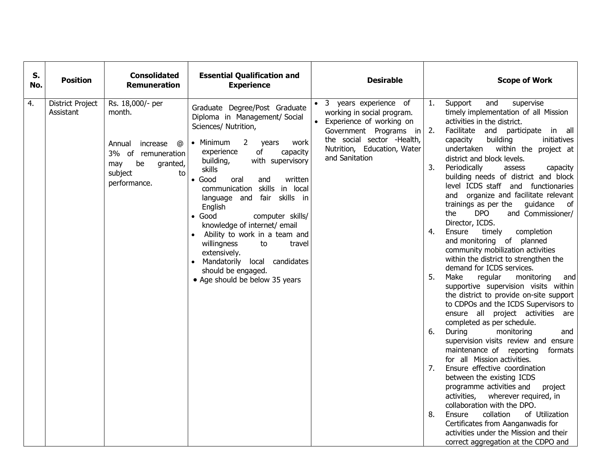| S.<br>No. | <b>Position</b>                      | <b>Consolidated</b><br><b>Remuneration</b>                                                                                            | <b>Essential Qualification and</b><br><b>Experience</b>                                                                                                                                                                                                                                                                                                                                                                                                                                                                                                                                             | <b>Desirable</b>                                                                                                                                                                           |                                              | <b>Scope of Work</b>                                                                                                                                                                                                                                                                                                                                                                                                                                                                                                                                                                                                                                                                                                                                                                                                                                                                                                                                                                                                                                                                                                                                                                                                                                                                                                                                                                                                        |
|-----------|--------------------------------------|---------------------------------------------------------------------------------------------------------------------------------------|-----------------------------------------------------------------------------------------------------------------------------------------------------------------------------------------------------------------------------------------------------------------------------------------------------------------------------------------------------------------------------------------------------------------------------------------------------------------------------------------------------------------------------------------------------------------------------------------------------|--------------------------------------------------------------------------------------------------------------------------------------------------------------------------------------------|----------------------------------------------|-----------------------------------------------------------------------------------------------------------------------------------------------------------------------------------------------------------------------------------------------------------------------------------------------------------------------------------------------------------------------------------------------------------------------------------------------------------------------------------------------------------------------------------------------------------------------------------------------------------------------------------------------------------------------------------------------------------------------------------------------------------------------------------------------------------------------------------------------------------------------------------------------------------------------------------------------------------------------------------------------------------------------------------------------------------------------------------------------------------------------------------------------------------------------------------------------------------------------------------------------------------------------------------------------------------------------------------------------------------------------------------------------------------------------------|
| 4.        | <b>District Project</b><br>Assistant | Rs. 18,000/- per<br>month.<br>increase<br>ര<br>Annual<br>3% of remuneration<br>be<br>granted,<br>may<br>subject<br>to<br>performance. | Graduate Degree/Post Graduate<br>Diploma in Management/ Social<br>Sciences/ Nutrition,<br>• Minimum<br>$\overline{2}$<br>work<br>years<br>experience<br>of<br>capacity<br>with supervisory<br>building,<br>skills<br>$\bullet$ Good<br>written<br>oral<br>and<br>communication skills in local<br>language and fair skills in<br>English<br>$\bullet$ Good<br>computer skills/<br>knowledge of internet/ email<br>Ability to work in a team and<br>$\bullet$<br>willingness<br>to<br>travel<br>extensively.<br>Mandatorily local candidates<br>should be engaged.<br>• Age should be below 35 years | • 3 years experience of<br>working in social program.<br>Experience of working on<br>Government Programs in<br>the social sector -Health,<br>Nutrition, Education, Water<br>and Sanitation | 1.<br>2.<br>3.<br>4.<br>5.<br>6.<br>7.<br>8. | Support<br>supervise<br>and<br>timely implementation of all Mission<br>activities in the district.<br>Facilitate and participate in all<br>capacity<br>building<br>initiatives<br>undertaken<br>within the project at<br>district and block levels.<br>Periodically<br>assess<br>capacity<br>building needs of district and block<br>level ICDS staff and functionaries<br>and organize and facilitate relevant<br>trainings as per the guidance<br>of<br><b>DPO</b><br>the<br>and Commissioner/<br>Director, ICDS.<br>Ensure<br>timely<br>completion<br>and monitoring of planned<br>community mobilization activities<br>within the district to strengthen the<br>demand for ICDS services.<br>Make<br>regular<br>monitoring<br>and<br>supportive supervision visits within<br>the district to provide on-site support<br>to CDPOs and the ICDS Supervisors to<br>ensure all project activities are<br>completed as per schedule.<br>During<br>monitoring<br>and<br>supervision visits review and ensure<br>maintenance of reporting<br>formats<br>for all Mission activities.<br>Ensure effective coordination<br>between the existing ICDS<br>programme activities and<br>project<br>activities,<br>wherever required, in<br>collaboration with the DPO.<br>collation<br>of Utilization<br>Ensure<br>Certificates from Aanganwadis for<br>activities under the Mission and their<br>correct aggregation at the CDPO and |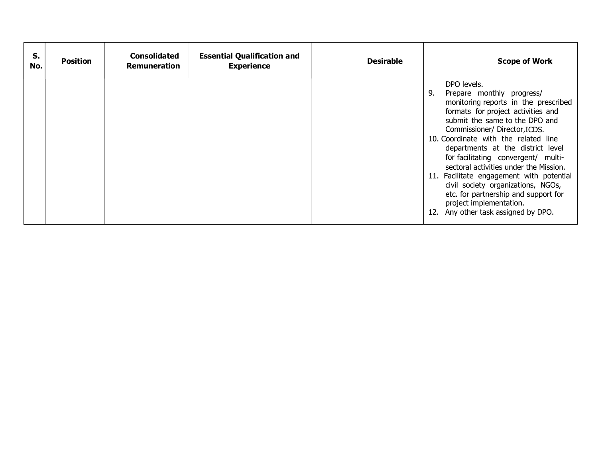| DPO levels.<br>Prepare monthly progress/<br>9.<br>monitoring reports in the prescribed<br>formats for project activities and<br>submit the same to the DPO and<br>Commissioner/Director, ICDS.<br>10. Coordinate with the related line<br>departments at the district level<br>for facilitating convergent/ multi-<br>sectoral activities under the Mission.<br>11. Facilitate engagement with potential<br>civil society organizations, NGOs,<br>etc. for partnership and support for<br>project implementation.<br>12. Any other task assigned by DPO. | S.<br>No. | <b>Position</b> | <b>Consolidated</b><br>Remuneration | <b>Essential Qualification and</b><br><b>Experience</b> | <b>Desirable</b> | <b>Scope of Work</b> |
|----------------------------------------------------------------------------------------------------------------------------------------------------------------------------------------------------------------------------------------------------------------------------------------------------------------------------------------------------------------------------------------------------------------------------------------------------------------------------------------------------------------------------------------------------------|-----------|-----------------|-------------------------------------|---------------------------------------------------------|------------------|----------------------|
|                                                                                                                                                                                                                                                                                                                                                                                                                                                                                                                                                          |           |                 |                                     |                                                         |                  |                      |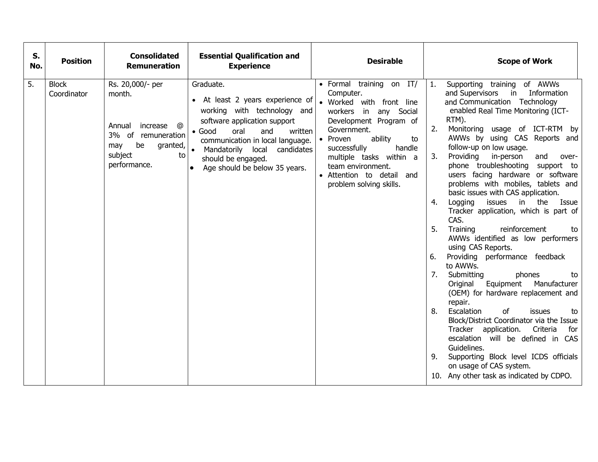| <b>Block</b><br>Rs. 20,000/- per<br>Graduate.<br>· Formal training on IT/<br>Supporting training of AWWs<br>1.<br>and Supervisors in Information<br>Computer.<br>Coordinator<br>month.<br>• At least 2 years experience of<br>and Communication Technology<br>• Worked with front line<br>working with technology and<br>enabled Real Time Monitoring (ICT-<br>workers in any Social<br>RTM).<br>software application support<br>Development Program of<br>Annual increase<br>@<br>2.<br>Monitoring usage of ICT-RTM by<br>Government.<br>$\bullet$ Good<br>oral<br>and<br>written<br>3% of remuneration<br>AWWs by using CAS Reports and<br>ability<br>• Proven<br>to<br>communication in local language.<br>granted, $\vert \bullet \vert$<br>be<br>may<br>follow-up on low usage.<br>successfully<br>handle<br>Mandatorily local candidates<br>subject<br>to<br>Providing<br>in-person<br>and<br>3.<br>over-<br>multiple tasks within a<br>should be engaged.<br>performance.<br>phone troubleshooting support to<br>team environment.<br>Age should be below 35 years.<br>users facing hardware or software<br>• Attention to detail and<br>problems with mobiles, tablets and<br>problem solving skills.<br>basic issues with CAS application.<br>Logging issues in the Issue<br>4.<br>Tracker application, which is part of<br>CAS.<br>5.<br>Training<br>reinforcement<br>to<br>AWWs identified as low performers<br>using CAS Reports.<br>Providing performance feedback<br>6.<br>to AWWs.<br>7.<br>Submitting<br>phones<br>to<br>Original Equipment Manufacturer<br>(OEM) for hardware replacement and<br>repair.<br>8.<br>Escalation<br>of<br>issues<br>to<br>Block/District Coordinator via the Issue<br>Tracker application.<br>Criteria<br>for<br>escalation will be defined in CAS<br>Guidelines.<br>Supporting Block level ICDS officials<br>9.<br>on usage of CAS system.<br>10. Any other task as indicated by CDPO. | S.<br>No.        | <b>Position</b> | <b>Consolidated</b><br><b>Remuneration</b> | <b>Essential Qualification and</b><br><b>Experience</b> | <b>Desirable</b> | <b>Scope of Work</b> |
|--------------------------------------------------------------------------------------------------------------------------------------------------------------------------------------------------------------------------------------------------------------------------------------------------------------------------------------------------------------------------------------------------------------------------------------------------------------------------------------------------------------------------------------------------------------------------------------------------------------------------------------------------------------------------------------------------------------------------------------------------------------------------------------------------------------------------------------------------------------------------------------------------------------------------------------------------------------------------------------------------------------------------------------------------------------------------------------------------------------------------------------------------------------------------------------------------------------------------------------------------------------------------------------------------------------------------------------------------------------------------------------------------------------------------------------------------------------------------------------------------------------------------------------------------------------------------------------------------------------------------------------------------------------------------------------------------------------------------------------------------------------------------------------------------------------------------------------------------------------------------------------------------------------------------------------|------------------|-----------------|--------------------------------------------|---------------------------------------------------------|------------------|----------------------|
|                                                                                                                                                                                                                                                                                                                                                                                                                                                                                                                                                                                                                                                                                                                                                                                                                                                                                                                                                                                                                                                                                                                                                                                                                                                                                                                                                                                                                                                                                                                                                                                                                                                                                                                                                                                                                                                                                                                                      | $\overline{5}$ . |                 |                                            |                                                         |                  |                      |